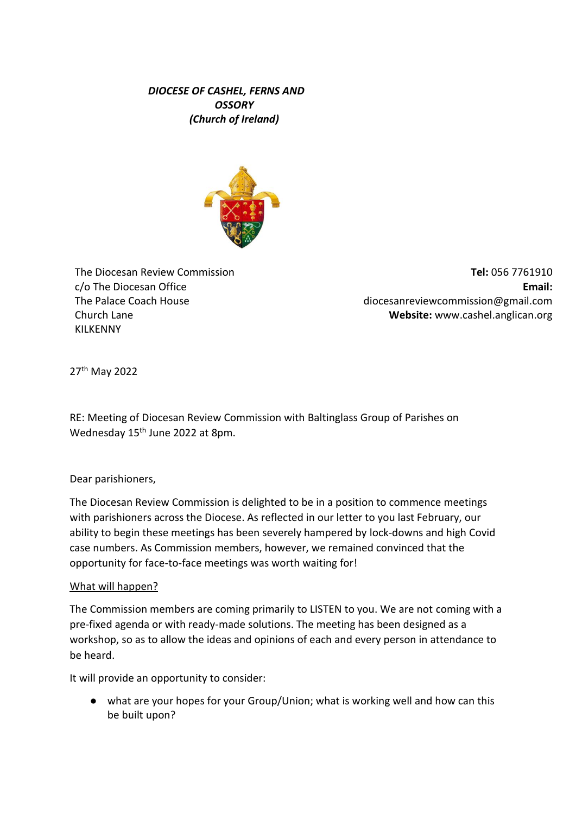# *DIOCESE OF CASHEL, FERNS AND OSSORY (Church of Ireland)*



The Diocesan Review Commission c/o The Diocesan Office The Palace Coach House Church Lane KILKENNY

**Tel:** 056 7761910 **Email:** diocesanreviewcommission@gmail.com **Website:** [www.cashel.anglican.org](about:blank)

27th May 2022

RE: Meeting of Diocesan Review Commission with Baltinglass Group of Parishes on Wednesday 15<sup>th</sup> June 2022 at 8pm.

Dear parishioners,

The Diocesan Review Commission is delighted to be in a position to commence meetings with parishioners across the Diocese. As reflected in our letter to you last February, our ability to begin these meetings has been severely hampered by lock-downs and high Covid case numbers. As Commission members, however, we remained convinced that the opportunity for face-to-face meetings was worth waiting for!

## What will happen?

The Commission members are coming primarily to LISTEN to you. We are not coming with a pre-fixed agenda or with ready-made solutions. The meeting has been designed as a workshop, so as to allow the ideas and opinions of each and every person in attendance to be heard.

It will provide an opportunity to consider:

● what are your hopes for your Group/Union; what is working well and how can this be built upon?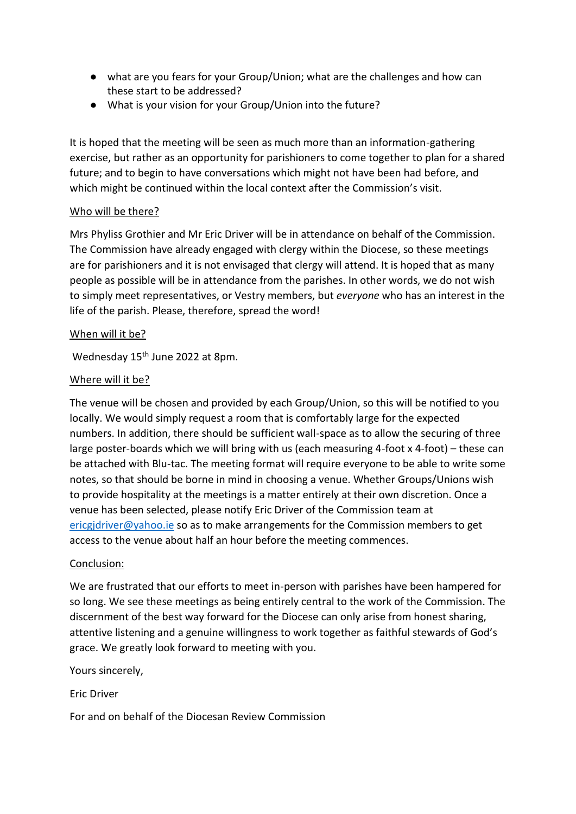- what are you fears for your Group/Union; what are the challenges and how can these start to be addressed?
- What is your vision for your Group/Union into the future?

It is hoped that the meeting will be seen as much more than an information-gathering exercise, but rather as an opportunity for parishioners to come together to plan for a shared future; and to begin to have conversations which might not have been had before, and which might be continued within the local context after the Commission's visit.

## Who will be there?

Mrs Phyliss Grothier and Mr Eric Driver will be in attendance on behalf of the Commission. The Commission have already engaged with clergy within the Diocese, so these meetings are for parishioners and it is not envisaged that clergy will attend. It is hoped that as many people as possible will be in attendance from the parishes. In other words, we do not wish to simply meet representatives, or Vestry members, but *everyone* who has an interest in the life of the parish. Please, therefore, spread the word!

## When will it be?

Wednesday 15<sup>th</sup> June 2022 at 8pm.

## Where will it be?

The venue will be chosen and provided by each Group/Union, so this will be notified to you locally. We would simply request a room that is comfortably large for the expected numbers. In addition, there should be sufficient wall-space as to allow the securing of three large poster-boards which we will bring with us (each measuring 4-foot x 4-foot) – these can be attached with Blu-tac. The meeting format will require everyone to be able to write some notes, so that should be borne in mind in choosing a venue. Whether Groups/Unions wish to provide hospitality at the meetings is a matter entirely at their own discretion. Once a venue has been selected, please notify Eric Driver of the Commission team at ericgidriver@yahoo.ie so as to make arrangements for the Commission members to get access to the venue about half an hour before the meeting commences.

## Conclusion:

We are frustrated that our efforts to meet in-person with parishes have been hampered for so long. We see these meetings as being entirely central to the work of the Commission. The discernment of the best way forward for the Diocese can only arise from honest sharing, attentive listening and a genuine willingness to work together as faithful stewards of God's grace. We greatly look forward to meeting with you.

Yours sincerely,

Eric Driver

For and on behalf of the Diocesan Review Commission